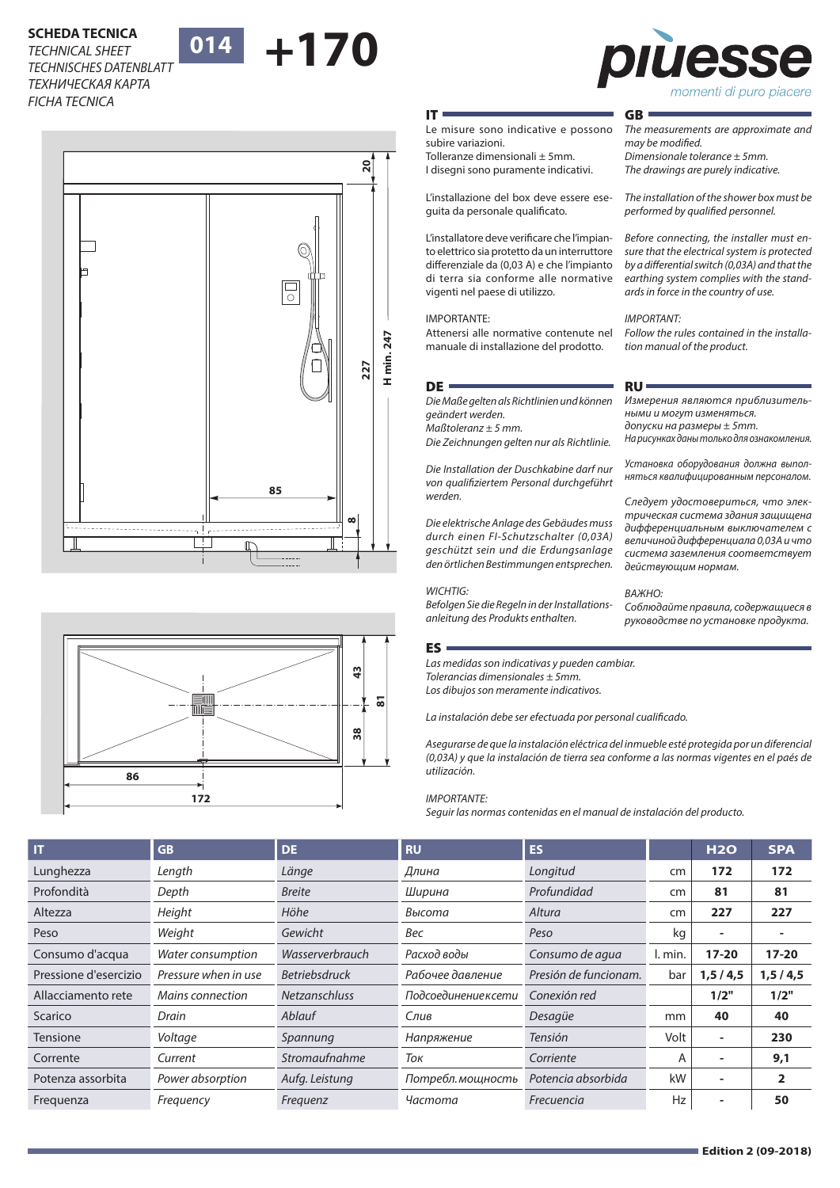# **SCHEDA TECNICA<br>TECHNICAL SHEET** 014 +170 *TECHNICAL SHEET TECHNISCHES DATENBLATT ТЕХНИЧЕСКАЯ КАРТА FICHA TECNICA*

# **014**







*The measurements are approximate and* 

*The installation of the shower box must be performed by qualified personnel.*

*Before connecting, the installer must ensure that the electrical system is protected by a differential switch (0,03A) and that the earthing system complies with the standards in force in the country of use.*

*Follow the rules contained in the installa-*

*Измерения являются приблизитель-*

*На рисунках даны только для ознакомления. Установка оборудования должна выполняться квалифицированным персоналом. Следует удостовериться, что электрическая система здания защищена дифференциальным выключателем с величиной дифференциала 0,03А и что система заземления соответствует* 

*Соблюдайте правила, содержащиеся в руководстве по установке продукта.*

*tion manual of the product.*

*ными и могут изменяться. допуски на размеры ± 5mm.*

*действующим нормам.* 

*ВАЖНО:*

*Dimensionale tolerance ± 5mm. The drawings are purely indicative.*

GB

*may be modified.* 

*IMPORTANT:*

RU

### IT

**20**

Le misure sono indicative e possono subire variazioni.

Tolleranze dimensionali ± 5mm. I disegni sono puramente indicativi.

L'installazione del box deve essere eseguita da personale qualificato.

L'installatore deve verificare che l'impianto elettrico sia protetto da un interruttore differenziale da (0,03 A) e che l'impianto di terra sia conforme alle normative vigenti nel paese di utilizzo.

### IMPORTANTE:

Attenersi alle normative contenute nel manuale di installazione del prodotto.

### DE **·**

*Die Maße gelten als Richtlinien und können geändert werden.*

*Maßtoleranz ± 5 mm.*

*Die Zeichnungen gelten nur als Richtlinie.*

*Die Installation der Duschkabine darf nur von qualifiziertem Personal durchgeführt werden.*

*Die elektrische Anlage des Gebäudes muss durch einen FI-Schutzschalter (0,03A) geschützt sein und die Erdungsanlage den örtlichen Bestimmungen entsprechen.* 

### *WICHTIG:*

*Befolgen Sie die Regeln in der Installationsanleitung des Produkts enthalten.*

### ES

*Las medidas son indicativas y pueden cambiar. Tolerancias dimensionales ± 5mm. Los dibujos son meramente indicativos.*

*La instalación debe ser efectuada por personal cualificado.*

*Asegurarse de que la instalación eléctrica del inmueble esté protegida por un diferencial (0,03A) y que la instalación de tierra sea conforme a las normas vigentes en el paés de utilización.* 

### *IMPORTANTE:*

*Seguir las normas contenidas en el manual de instalación del producto.*

| <b>IT</b>             | <b>GB</b>            | <b>DE</b>            | <b>RU</b>            | <b>ES</b>             |         | H2O                      | <b>SPA</b>     |
|-----------------------|----------------------|----------------------|----------------------|-----------------------|---------|--------------------------|----------------|
| Lunghezza             | Length               | Länge                | Длина                | Longitud              | cm      | 172                      | 172            |
| Profondità            | Depth                | <b>Breite</b>        | Ширина               | Profundidad           | cm      | 81                       | 81             |
| Altezza               | Height               | Höhe                 | Высота               | Altura                | cm      | 227                      | 227            |
| Peso                  | Weight               | Gewicht              | Bec                  | Peso                  | kg      | $\overline{\phantom{a}}$ |                |
| Consumo d'acqua       | Water consumption    | Wasserverbrauch      | Расход воды          | Consumo de agua       | I. min. | $17 - 20$                | $17-20$        |
| Pressione d'esercizio | Pressure when in use | <b>Betriebsdruck</b> | Рабочее давление     | Presión de funcionam. | bar     | 1, 5/4, 5                | 1, 5/4, 5      |
| Allacciamento rete    | Mains connection     | <b>Netzanschluss</b> | Подсоединение к сети | Conexión red          |         | 1/2"                     | 1/2"           |
| Scarico               | Drain                | Ablauf               | Слив                 | Desagüe               | mm      | 40                       | 40             |
| <b>Tensione</b>       | Voltage              | Spannung             | Напряжение           | <b>Tensión</b>        | Volt    | ٠                        | 230            |
| Corrente              | Current              | Stromaufnahme        | Ток                  | Corriente             | A       |                          | 9,1            |
| Potenza assorbita     | Power absorption     | Aufg. Leistung       | Потребл. мощность    | Potencia absorbida    | kW      |                          | $\overline{2}$ |
| Frequenza             | Frequency            | Frequenz             | Частота              | Frecuencia            | Hz      |                          | 50             |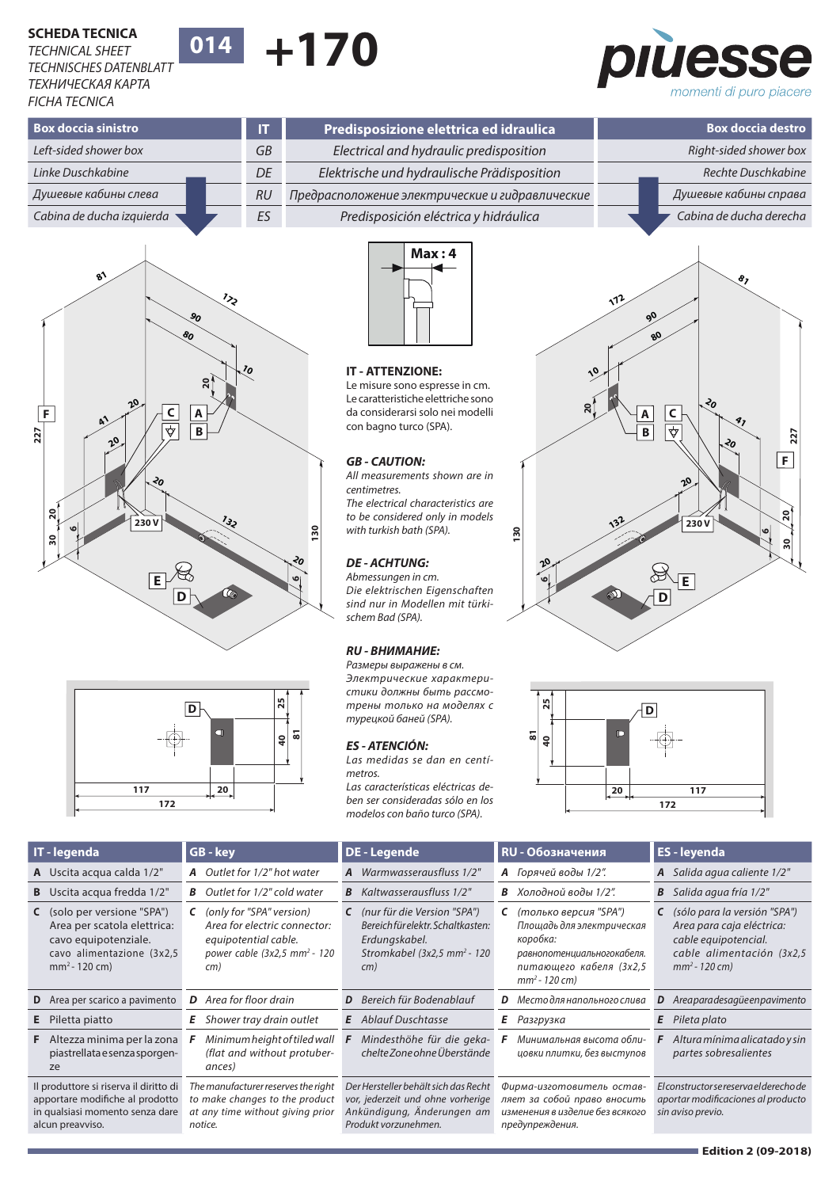## **+170 SCHEDA TECNICA 014** *TECHNICAL SHEET TECHNISCHES DATENBLATT ТЕХНИЧЕСКАЯ КАРТА FICHA TECNICA*

piùess momenti di puro piacere

| <b>Box doccia sinistro</b> |  | $\overline{1}$ | Predisposizione elettrica ed idraulica  |                                                 |  | <b>Box doccia destro</b> |                       |
|----------------------------|--|----------------|-----------------------------------------|-------------------------------------------------|--|--------------------------|-----------------------|
| Left-sided shower box      |  | GB             | Electrical and hydraulic predisposition |                                                 |  | Right-sided shower box   |                       |
| Linke Duschkabine          |  |                | DE                                      | Elektrische und hydraulische Prädisposition     |  |                          | Rechte Duschkabine    |
| Душевые кабины слева       |  |                | <b>RU</b>                               | Предрасположение электрические и гидравлические |  |                          | Душевые кабины справа |
| Cabina de ducha izquierda  |  | ES             | Predisposición eléctrica y hidráulica   |                                                 |  | Cabina de ducha derecha  |                       |
|                            |  |                |                                         |                                                 |  |                          |                       |







### **IT - ATTENZIONE: 10 10**

Le misure sono espresse in cm. **20** Le caratteristiche elettriche sono da considerarsi solo nei modelli **20 A A** con bagno turco (SPA). **B**

### *GB - CAUTION:*

*All measurements shown are in centimetres. The electrical characteristics are to be considered only in models*  **132** *with turkish bath (SPA).* **130 132**

### *DE - ACHTUNG:* **20**

*Abmessungen in cm.* **6** *Die elektrischen Eigenschaften sind nur in Modellen mit türkischem Bad (SPA).*

### *RU - ВНИМАНИЕ:*

*Размеры выражены в см. Электрические характеристики должны быть рассмотрены только на моделях с*  **D D** *турецкой баней (SPA).* **1**<br>21<br>**25 40 25**

# *ES - ATENCIÓN:* **81**

*Las medidas se dan en centímetros.*

*Las características eléctricas de-***20 117 117 20** *ben ser consideradas sólo en los modelos con baño turco (SPA).*





|    | IT - legenda                                                                                                                        | GB - key                                                                                                                                               | <b>DE</b> - Legende                                                                                                                          | <b>RU - Обозначения</b>                                                                                                                          | <b>ES</b> - leyenda                                                                                                                                |
|----|-------------------------------------------------------------------------------------------------------------------------------------|--------------------------------------------------------------------------------------------------------------------------------------------------------|----------------------------------------------------------------------------------------------------------------------------------------------|--------------------------------------------------------------------------------------------------------------------------------------------------|----------------------------------------------------------------------------------------------------------------------------------------------------|
|    | A Uscita acqua calda 1/2"                                                                                                           | <b>A</b> Outlet for 1/2" hot water                                                                                                                     | A Warmwasserausfluss 1/2"                                                                                                                    | А Горячей воды 1/2".                                                                                                                             | Salida agua caliente 1/2"<br>A                                                                                                                     |
| B  | Uscita acqua fredda 1/2"                                                                                                            | <b>B</b> Outlet for 1/2" cold water                                                                                                                    | <b>B</b> Kaltwasserausfluss 1/2"                                                                                                             | В Холодной воды 1/2".                                                                                                                            | Salida agua fría 1/2"<br>В                                                                                                                         |
|    | C (solo per versione "SPA")<br>Area per scatola elettrica:<br>cavo equipotenziale.<br>cavo alimentazione (3x2,5<br>$mm2 - 120 cm$ ) | <b>C</b> (only for "SPA" version)<br>Area for electric connector:<br>equipotential cable.<br>power cable (3x2,5 mm <sup>2</sup> - 120<br>$\epsilon$ m) | <b>C</b> (nur für die Version "SPA")<br>Bereich für elektr. Schaltkasten:<br>Erdungskabel.<br>Stromkabel (3x2,5 mm <sup>2</sup> - 120<br>cm) | (только версия "SPA")<br>C<br>Площадь для электрическая<br>коробка:<br>равнопотенциальногокабеля.<br>питающего кабеля (3х2,5<br>$mm^2 - 120$ cm) | (sólo para la versión "SPA")<br>C<br>Area para caja eléctrica:<br>cable equipotencial.<br>cable alimentación (3x2,5<br>$mm^2 - 120 \, \text{cm}$ ) |
|    | <b>D</b> Area per scarico a pavimento                                                                                               | <b>D</b> Area for floor drain                                                                                                                          | Bereich für Bodenablauf<br>D                                                                                                                 | <b>D</b> Место для напольного слива                                                                                                              | Areaparadesagüeenpavimento<br>D                                                                                                                    |
| Е. | Piletta piatto                                                                                                                      | Shower tray drain outlet                                                                                                                               | <b>E</b> Ablauf Duschtasse                                                                                                                   | Ε<br>Разгрузка                                                                                                                                   | Pileta plato<br>Ε                                                                                                                                  |
|    | <b>F</b> Altezza minima per la zona<br>piastrellata e senza sporgen-<br>ze                                                          | Minimum height of tiled wall<br>(flat and without protuber-<br>ances)                                                                                  | Mindesthöhe für die geka-<br>chelte Zone ohne Überstände                                                                                     | Минимальная высота обли-<br>цовки плитки, без выступов                                                                                           | Altura mínima alicatado y sin<br>partes sobresalientes                                                                                             |
|    | Il produttore si riserva il diritto di<br>apportare modifiche al prodotto<br>in qualsiasi momento senza dare<br>alcun preavviso.    | The manufacturer reserves the right<br>to make changes to the product<br>at any time without giving prior<br>notice.                                   | Der Hersteller behält sich das Recht<br>vor, jederzeit und ohne vorherige<br>Ankündigung, Änderungen am<br>Produkt vorzunehmen.              | Фирма-изготовитель остав-<br>ляет за собой право вносить<br>изменения в изделие без всякого<br>предупреждения.                                   | El constructor se reserva el derecho de<br>aportar modificaciones al producto<br>sin aviso previo.                                                 |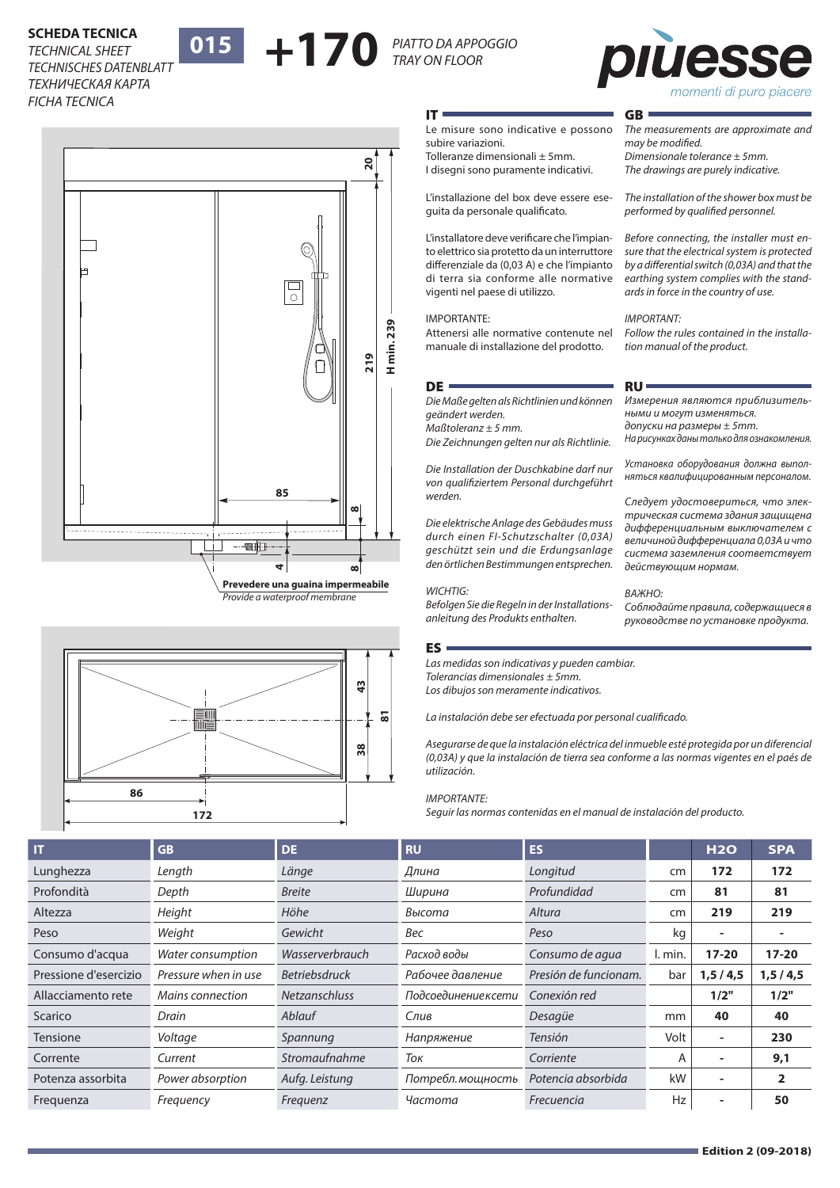# **ECHINICAL SHEET 18 | 015 | PIATTO DA APPOGGIO<br>TECHNISCHES DATENBLATT <b>| 015 | PIATTO DA APPOGGIO** *TECHNICAL SHEET ТЕХНИЧЕСКАЯ КАРТА*

*TECHNISCHES DATENBLATT FICHA TECNICA*







*The measurements are approximate and* 

*The installation of the shower box must be performed by qualified personnel.*

*Before connecting, the installer must ensure that the electrical system is protected by a differential switch (0,03A) and that the earthing system complies with the standards in force in the country of use.*

*Follow the rules contained in the installa-*

*Измерения являются приблизитель-*

*На рисунках даны только для ознакомления. Установка оборудования должна выполняться квалифицированным персоналом. Следует удостовериться, что электрическая система здания защищена дифференциальным выключателем с величиной дифференциала 0,03А и что* 

*tion manual of the product.*

*ными и могут изменяться. допуски на размеры ± 5mm.*

*Dimensionale tolerance ± 5mm. The drawings are purely indicative.*

GB

*may be modified.* 

*IMPORTANT:*

RU

### IT

Le misure sono indicative e possono subire variazioni.

Tolleranze dimensionali ± 5mm. I disegni sono puramente indicativi.

L'installazione del box deve essere eseguita da personale qualificato.

L'installatore deve verificare che l'impianto elettrico sia protetto da un interruttore differenziale da (0,03 A) e che l'impianto di terra sia conforme alle normative vigenti nel paese di utilizzo.

### IMPORTANTE:

Attenersi alle normative contenute nel manuale di installazione del prodotto.

### DE **·**

*Die Maße gelten als Richtlinien und können geändert werden.*

*Maßtoleranz ± 5 mm.*

*Die Zeichnungen gelten nur als Richtlinie.*

*Die Installation der Duschkabine darf nur von qualifiziertem Personal durchgeführt werden.*

*Die elektrische Anlage des Gebäudes muss durch einen FI-Schutzschalter (0,03A) geschützt sein und die Erdungsanlage den örtlichen Bestimmungen entsprechen.* 

### *WICHTIG:*

*Befolgen Sie die Regeln in der Installationsanleitung des Produkts enthalten.*

### ES

*Las medidas son indicativas y pueden cambiar. Tolerancias dimensionales ± 5mm. Los dibujos son meramente indicativos.*

*La instalación debe ser efectuada por personal cualificado.*

*Asegurarse de que la instalación eléctrica del inmueble esté protegida por un diferencial (0,03A) y que la instalación de tierra sea conforme a las normas vigentes en el paés de utilización.* 

### *IMPORTANTE:*

*Seguir las normas contenidas en el manual de instalación del producto.*

| IT                    | <b>GB</b>            | <b>DE</b>            | <b>RU</b>            | <b>ES</b>             |         | <b>H2O</b>     | <b>SPA</b>     |
|-----------------------|----------------------|----------------------|----------------------|-----------------------|---------|----------------|----------------|
| Lunghezza             | Length               | Länge                | Длина                | Longitud              | cm      | 172            | 172            |
| Profondità            | Depth                | <b>Breite</b>        | Ширина               | Profundidad           | cm      | 81             | 81             |
| Altezza               | Height               | Höhe                 | Высота               | Altura                | cm      | 219            | 219            |
| Peso                  | Weight               | Gewicht              | Bec                  | Peso                  | kg      | $\blacksquare$ |                |
| Consumo d'acqua       | Water consumption    | Wasserverbrauch      | Расход воды          | Consumo de agua       | I. min. | $17 - 20$      | $17 - 20$      |
| Pressione d'esercizio | Pressure when in use | <b>Betriebsdruck</b> | Рабочее давление     | Presión de funcionam. | bar     | 1, 5/4, 5      | 1, 5 / 4, 5    |
| Allacciamento rete    | Mains connection     | <b>Netzanschluss</b> | Подсоединение к сети | Conexión red          |         | 1/2"           | 1/2"           |
| Scarico               | Drain                | Ablauf               | Слив                 | Desagüe               | mm      | 40             | 40             |
| Tensione              | Voltage              | Spannung             | Напряжение           | <b>Tensión</b>        | Volt    | ٠              | 230            |
| Corrente              | Current              | Stromaufnahme        | Ток                  | Corriente             | A       | ۰              | 9,1            |
| Potenza assorbita     | Power absorption     | Aufg. Leistung       | Потребл. мощность    | Potencia absorbida    | kW      | ۰              | $\overline{2}$ |
| Freguenza             | Frequency            | Frequenz             | Частота              | Frecuencia            | Hz      | ۰              | 50             |

### *система заземления соответствует действующим нормам.*

### *ВАЖНО:*

*Соблюдайте правила, содержащиеся в руководстве по установке продукта.*